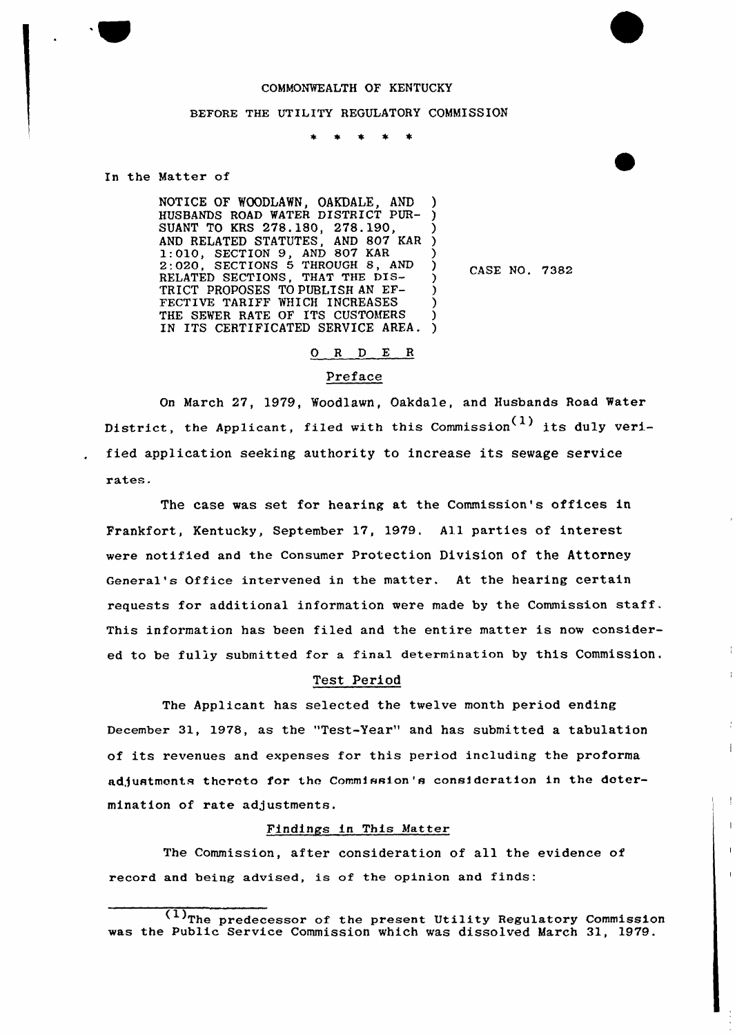# COMMONWEALTH OF KENTUCKY

## BEFORE THE UTILITY REGULATORY COMMISSION

In the Matter of

NOTICE OF WOODLAWN, OAKDALE, AND HUSBANDS ROAD WATER DISTRICT PUR-SUANT TO KRS 278.180, 278.190, AND RELATED STATUTES, AND 807 KAR 1:010, SECTION 9, AND 807 KAR 2:020, SECTIONS 5 THROUGH 8, AND BRELATED SECTIONS, THAT THE DIS-TRICT PROPOSES TO PUBLISH AN EF-FECTIVE TARIFF WHICH INCREASES THE SEWER RATE OF ITS CUSTOMERS IN ITS CERTIFICATED SERVICE AREA. ) ) ) ) ) ) ) ) )

CASE NO. 7382

 $\mathbf{I}$ 

 $\mathbf{I}$ 

### 0 <sup>R</sup> <sup>D</sup> E <sup>R</sup>

# Preface

On March 27, 1979, Woodlawn, Oakdale, and Husbands Road Water District, the Applicant, filed with this Commission<sup>(1)</sup> its duly verified application seeking authority to increase its sewage service rates.

The case was set for hearing at the Commission's offices in Frankfort, Kentucky, September 17, 1979. All parties of interest were notified and the Consumer Protection Division of the Attorney General's Office intervened in the matter. At the hearing certain requests fox additional information were made by the Commission staff. This information has been filed and the entire matter is now considered to be fully submitted for a final determination by this Commission.

### Test Period

The Applicant has selected the twelve month period ending December 31, 1978, as the "Test-Year" and has submitted a tabulation of its revenues and expenses fox this period including the proforma adjustments thereto for the Commission's consideration in the dotermination of rate adjustments.

## Findings in This Matter

The Commission, after consideration of all the evidence of record and being advised, is of the opinion and finds:

 $\frac{(1)}{7}$ The predecessor of the present Utility Regulatory Commission was the Public Service Commission which was dissolved March 31, 1979.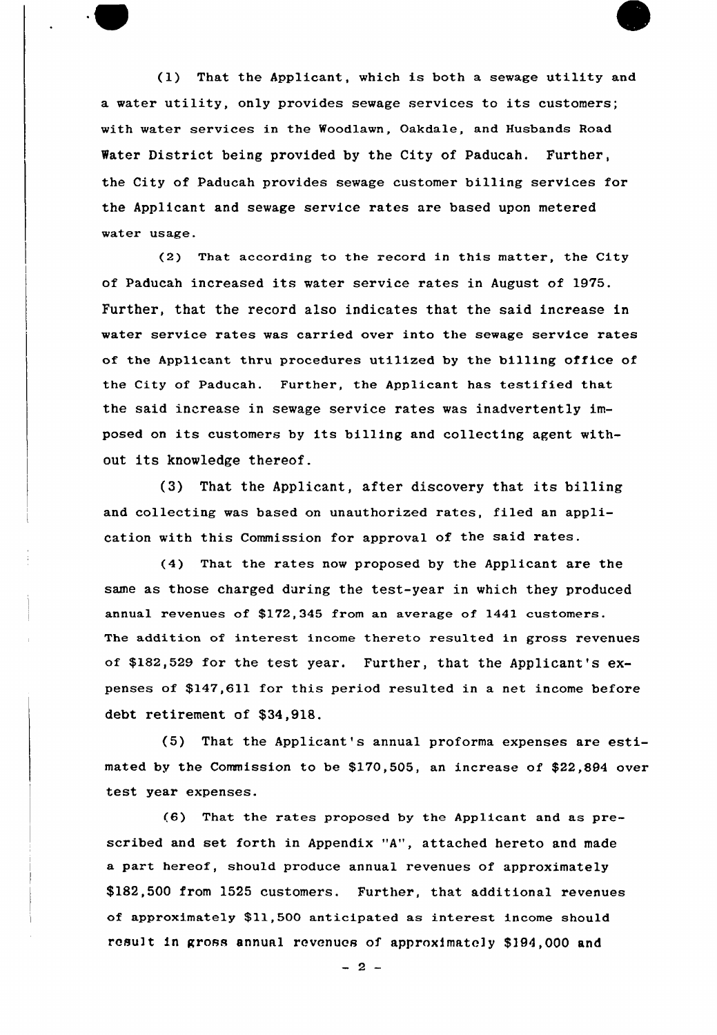(1) That the Applicant, which is both a sewage utility and a water utility, only provides sewage services to its customers; with water services in the Woodlawn, Oakdale, and Husbands Road Water District being provided by the City of Paducah. Further, the City of Paducah provides sewage customer billing services for the Applicant and sewage service rates are based upon metered water usage.

(2) That according to the record in this matter, the City of Paducah increased its water service rates in August of 1975. Further, that the record also indicates that the said increase in water service rates was carried over into the sewage service rates of the Applicant thru procedures utilized by the billing office of the City of Paducah. Further, the Applicant has testified that the said increase in sewage service rates was inadvertently imposed on its customers by its billing and collecting agent without its knowledge thereof.

(3) That the Applicant, after discovery that its billing and collecting was based on unauthorized rates, filed an application with this Commission for approval of the said rates.

(4) That the rates now proposed by the Applicant are the same as those charged during the test-year in which they produced annual revenues of \$172,345 from an average of 1441 customers. The addition of interest income thereto resulted in gross revenues of \$182,529 for the test year. Further, that the Applicant's expenses of \$147,611 for this period resulted in a net income before debt retirement of \$34,918.

(5) That the Applicant's annual proforma expenses are estimated by the Commission to be \$170,505, an increase of \$22,894 over test year expenses.

(6) That the rates proposed by the Applicant and as prescribed and set forth in Appendix "A", attached hereto and made a part hereof, should produce annual revenues of approximately \$1S2,500 from 1525 customers. Further, that additional revenues of approximately \$11,500 anticipated as interest income should result in gross annual revenues of approximately \$194,000 and

 $-2-$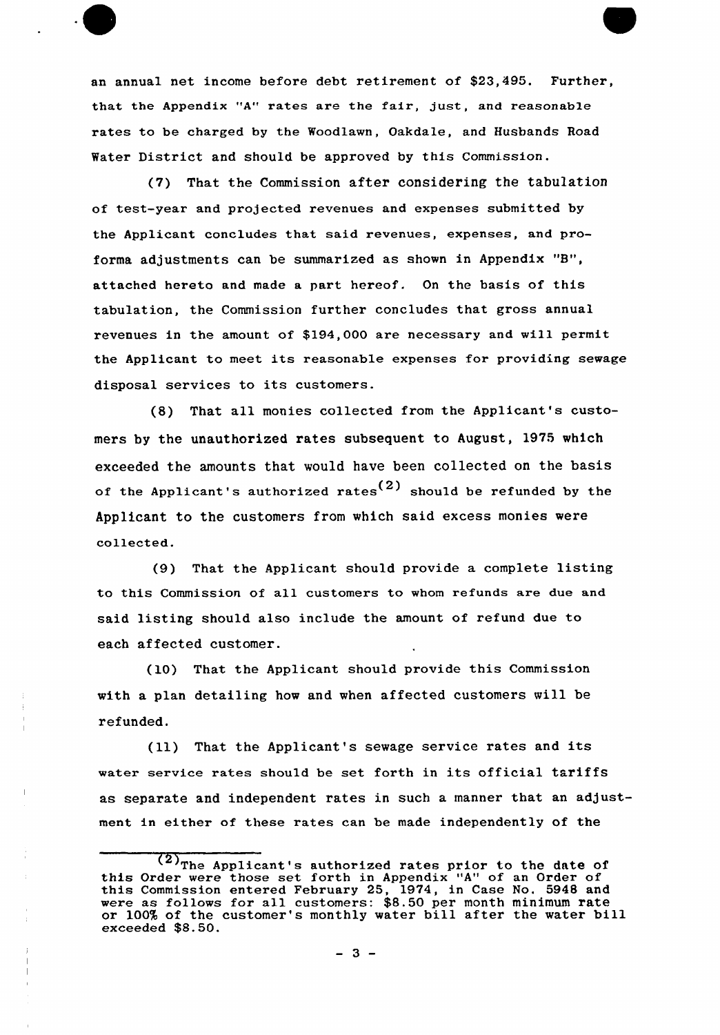an annual net income before debt retirement of \$23,495. Further, that the Appendix "A" rates are the fair, just, and reasonable rates to be charged by the Woodlawn, Oakdale, and Husbands Road Water District and should be approved by this Commission.

(7) That the Commission after considering the tabulation of test-year and projected revenues and expenses submitted by the Applicant concludes that said revenues, expenses, and proforma adjustments can be summarized as shown in Appendix "8", attached hereto and made a part hereof. On the basis of this tabulation, the Commission further concludes that gross annual revenues in the amount of \$194,000 are necessary and will permit the Applicant to meet its reasonable expenses for providing sewage disposal services to its customers.

(8) That all monies collected from the Applicant's customers by the unauthorized rates subsequent to August, 1975 which exceeded the amounts that would have been collected on the basis of the Applicant's authorized rates<sup>(2)</sup> should be refunded by the Applicant to the customers from which said excess monies were collected.

(9) That the Applicant should provide a complete listing to this Commission of all customers to whom refunds are due and said listing should also include the amount of refund due to each affected customer.

(10) That the Applicant should provide this Commission with a plan detailing how and when affected customers mill be refunded.

(ll) That the Applicant's sewage service rates and its water service rates should be set forth in its official tariffs as separate and independent rates in such a manner that an adjustment in either of these rates can be made independently of the

 $\overline{(2)}$ The Applicant's authorized rates prior to the date of this Order were those set forth in Appendix "A" of an Order of this Commission entered February 25, 1974, in Case No. 5948 and were as follows for all customers: \$8.50 per month minimum rate or 100% of the customer's monthly water bill after the water bill exceeded \$8.50.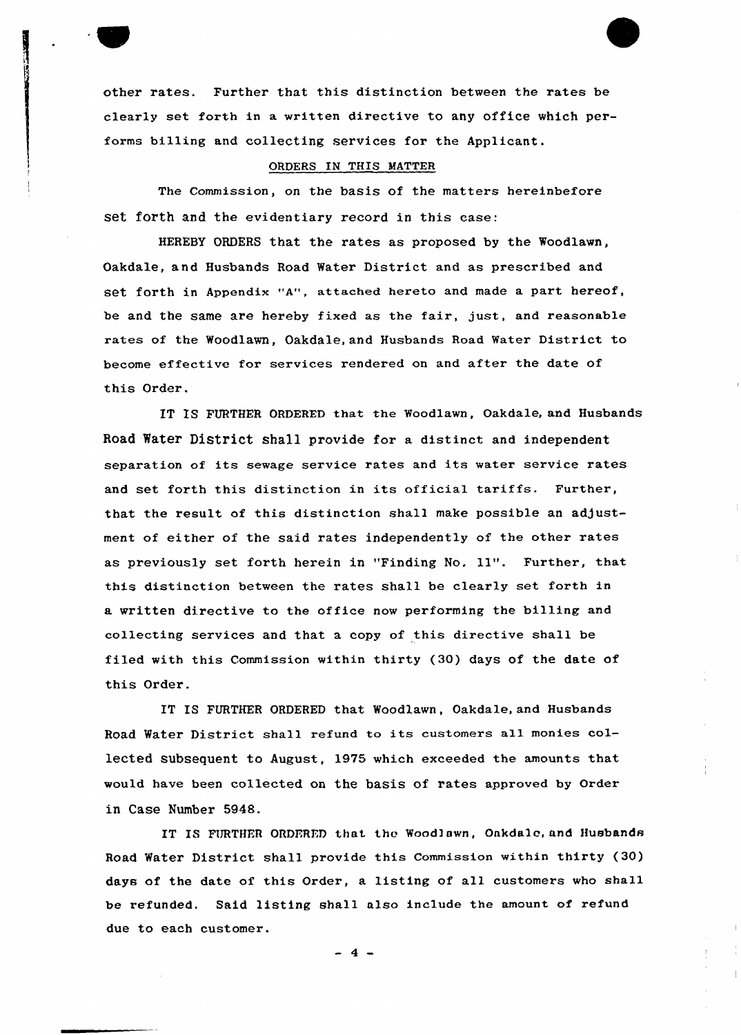other rates. Further that this distinction between the rates be clearly set forth in a written directive to any office which performs billing and collecting services for the Applicant.

### ORDERS IN THIS MATTER

The Commission, on the basis of the matters hereinbefore set forth and the evidentiary record in this case:

HEREBY ORDERS that the rates as proposed by the Woodlawn, Oakdale, and Husbands Road Water District and as prescribed and set forth in Appendix "A", attached hereto and made a part hereof, be and the same are hereby fixed as the fair, just, and reasonable rates of the Woodlawn, Oakdale, and Husbands Road Water District to become effective for services rendered on and after the date of this Order.

IT IS FURTHER ORDERED that the Woodlawn, Oakdale, and Husbands Road Water District shall provide for a distinct and independent separation of its sewage service rates and its water service rates and set forth this distinction in its official tariffs. Further, that the result of this distinction shall make possible an adjustment of either of the said rates independently of the other rates as previously set forth herein in "Finding No, ll". Further, that this distinction between the rates shall be clearly set forth in a written directive to the office now performing the billing and collecting services and that a copy of this directive shall be filed with this Commission within thirty (30) days of the date of this Order.

IT IS FURTHER ORDERED that Woodlawn, Oakdale, and Husbands Road Water District shall refund to its customers all monies collected subsequent to August, 1975 which exceeded the amounts that would have been collected on the basis of rates approved by Order in Case Number 5948.

IT IS FURTHER ORDERED that the Woodlawn, Oakdalc, and Husbands Road Water District shall provide this Commission within thirty (30) days of the date of this Order, a listing of all customers who shall be refunded. Said listing shall also include the amount of refund due to each customer.

 $4 -$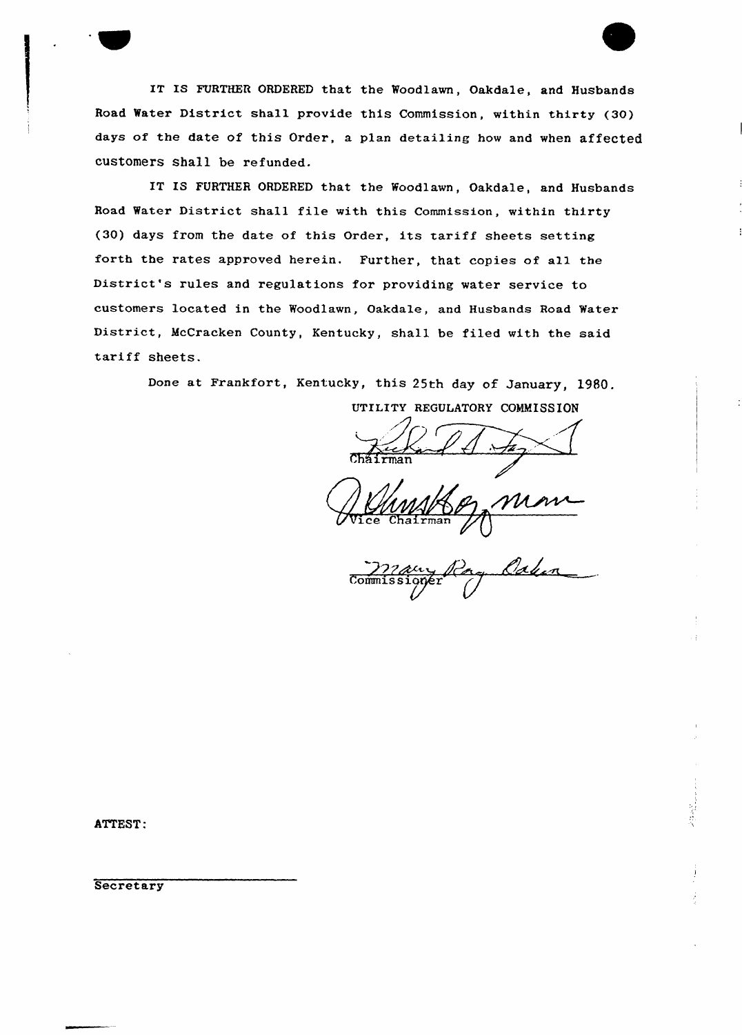IT IS FURTHER ORDERED that the Woodlawn, Oakdale, and Husbands Road Water District shall provide this Commission, within thirty (30) days of the date of this Order, a plan detailing how and when affected customers shall be refunded.

IT IS FURTHER ORDERED that the Woodlawn, Oakdale, and Husbands Road Water District shall file with this Commission, within thirty (30) days from the date of this Order, its tariff sheets setting forth the rates approved herein. Further, that copies of all the District's rules and regulations for providing water service to customers located in the Woodlawn, Oakdale, and Husbands Road Water District, McCracken County, Kentucky, shall be filed with the said tariff sheets.

Done at Frankfort, Kentucky, this 25th day of January, 1980.

UTILITY REGULATORY COMMISSION

 ${\tt Cháirma}$ 

 $\hat{\mathbb{A}}$ John Commissioner

ATTEST:

**Secretary**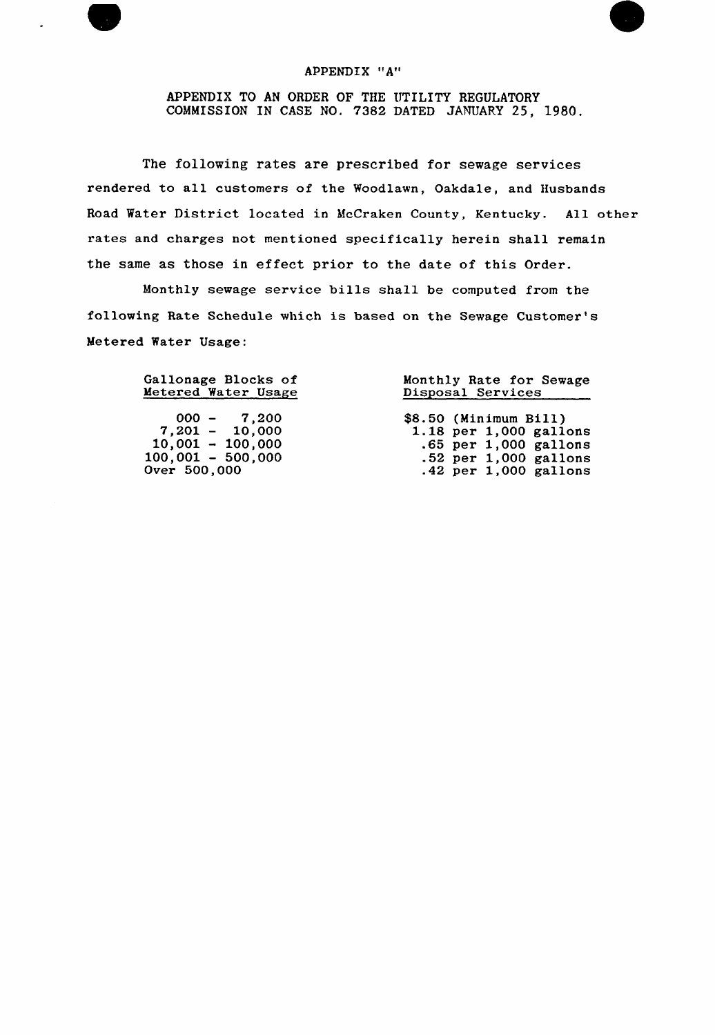## APPENDIX "A"

APPENDIX TO AN ORDER OF THE UTILITY REGULATORY COMMISSION IN CASE NO. 7382 DATED JANUARY 25, 1980.

The following rates are prescribed for sewage services rendered to all customers of the Woodlawn, Oakdale, and Husbands Road Water District located in McCraken County, Kentucky. All other rates and charges not mentioned specifically herein shall remain the same as those in effect prior to the date of this Order.

Monthly sewage service bills shall be computed from the following Rate Schedule which is based on the Sewage Customer' Metered Water Usage:

| Gallonage Blocks of | Monthly Rate for Sewage |  |  |
|---------------------|-------------------------|--|--|
| Metered Water Usage | Disposal Services       |  |  |
| $000 - 7,200$       | \$8.50 (Minimum Bill)   |  |  |
| $7,201 - 10,000$    | 1.18 per 1,000 gallons  |  |  |
| $10,001 - 100,000$  | $.65$ per 1,000 gallons |  |  |
| $100,001 - 500,000$ | $.52$ per 1,000 gallons |  |  |
| Over 500,000        | $.42$ per 1,000 gallons |  |  |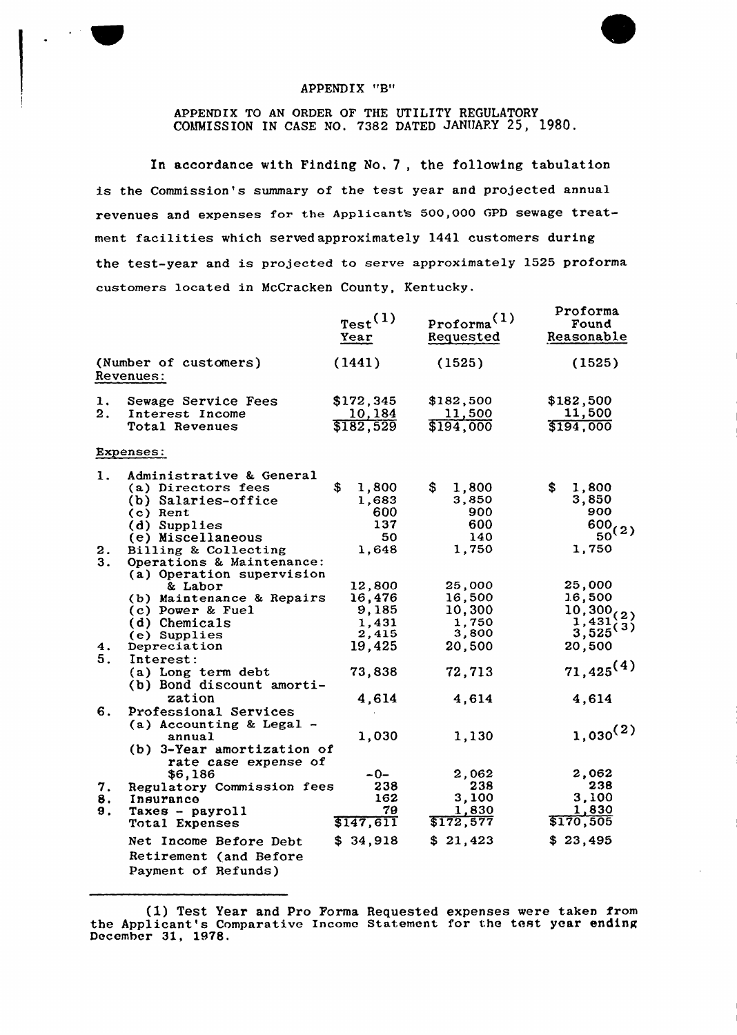# APPENDIX "B"

# APPENDIX TO AN ORDER OF THE UTILITY REGULATORY COMMISSION IN CASE NO. 7382 DATED JANUARY 25, 1980.

In accordance with Finding No. 7, the following tabulation is the Commission's summary of the test year and projected annual revenues and expenses for the Applicant's 500,000 GPD sewage treatment facilities which served approximately 1441 customers during the test-year and is projected to serve approximately 1525 proforma customers located in McCracken County, Kentucky.

|                                    |                                                                                                                        | Test <sup>(1)</sup><br>Year                 | $proforma^{(1)}$<br>Requested                | Proforma<br>Found<br>Reasonable                                            |
|------------------------------------|------------------------------------------------------------------------------------------------------------------------|---------------------------------------------|----------------------------------------------|----------------------------------------------------------------------------|
| (Number of customers)<br>Revenues: |                                                                                                                        | (1441)                                      | (1525)                                       | (1525)                                                                     |
| 1.<br>2.                           | Sewage Service Fees<br>Interest Income<br>Total Revenues                                                               | \$172,345<br>10,184<br>\$182,529            | \$182,500<br>11,500<br>\$194,000             | \$182,500<br>11,500<br>\$194,000                                           |
|                                    | Expenses:                                                                                                              |                                             |                                              |                                                                            |
| 1.                                 | Administrative & General<br>(a) Directors fees<br>(b) Salaries-office<br>(c) Rent<br>(d) Supplies<br>(e) Miscellaneous | \$<br>1,800<br>1,683<br>600<br>137<br>50    | \$.<br>1,800<br>3,850<br>900<br>600<br>140   | \$<br>1,800<br>3,850<br>900<br>$\frac{600}{50}(2)$                         |
| 2.<br>3.                           | Billing & Collecting<br>Operations & Maintenance:<br>(a) Operation supervision                                         | 1,648<br>12,800                             | 1,750<br>25,000                              | 1,750<br>25,000                                                            |
|                                    | & Labor<br>(b) Maintenance & Repairs<br>(c) Power & Fuel<br>(d) Chemicals<br>(e) Supplies                              | 16,476<br>9,185<br>1,431<br>2,415<br>19,425 | 16,500<br>10,300<br>1,750<br>3,800<br>20,500 | 16,500<br>$\frac{10,300}{1,431}$ $\binom{2}{3}$<br>$3,525^{(3)}$<br>20,500 |
| 4.<br>5.                           | Depreciation<br>Interest:<br>(a) Long term debt<br>(b) Bond discount amorti-                                           | 73,838                                      | 72,713                                       | $71,425^{(4)}$                                                             |
| 6.                                 | zation<br>Professional Services<br>(a) Accounting & Legal -                                                            | 4,614                                       | 4,614                                        | 4,614                                                                      |
|                                    | annual<br>(b) 3-Year amortization of<br>rate case expense of                                                           | 1,030                                       | 1,130                                        | $1,030^{(2)}$                                                              |
| 7.<br>8.<br>9.                     | \$6,186<br>Regulatory Commission fees<br>Insurance<br>Taxes - payroll                                                  | -0-<br>238<br>162<br>79                     | 2,062<br>238<br>3,100<br>1,830               | 2,062<br>238<br>3,100<br>1,830                                             |
|                                    | Total Expenses<br>Net Income Before Debt<br>Retirement (and Before<br>Payment of Refunds)                              | \$147, 611<br>\$34,918                      | \$172,577<br>\$21,423                        | \$170,505<br>\$23,495                                                      |

(1) Test Year and Pro Forma Requested expenses were taken from the Applicant's Comparative Income Statement for the test year ending December 31, 1978.